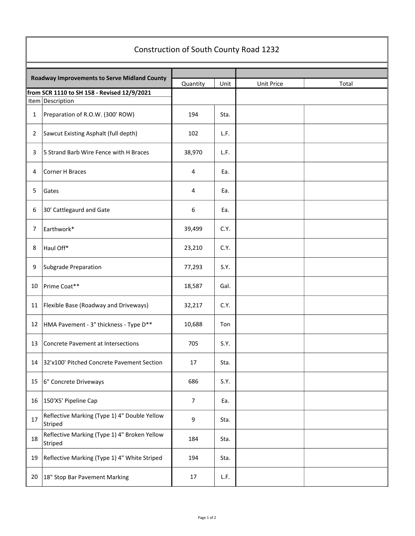| Construction of South County Road 1232              |                                                         |                |      |                   |       |  |  |  |  |
|-----------------------------------------------------|---------------------------------------------------------|----------------|------|-------------------|-------|--|--|--|--|
|                                                     |                                                         |                |      |                   |       |  |  |  |  |
| <b>Roadway Improvements to Serve Midland County</b> |                                                         | Quantity       | Unit | <b>Unit Price</b> | Total |  |  |  |  |
|                                                     | from SCR 1110 to SH 158 - Revised 12/9/2021             |                |      |                   |       |  |  |  |  |
|                                                     | Item Description                                        |                |      |                   |       |  |  |  |  |
| 1                                                   | Preparation of R.O.W. (300' ROW)                        | 194            | Sta. |                   |       |  |  |  |  |
| 2                                                   | Sawcut Existing Asphalt (full depth)                    | 102            | L.F. |                   |       |  |  |  |  |
| 3                                                   | 5 Strand Barb Wire Fence with H Braces                  | 38,970         | L.F. |                   |       |  |  |  |  |
| 4                                                   | Corner H Braces                                         | 4              | Ea.  |                   |       |  |  |  |  |
| 5                                                   | Gates                                                   | 4              | Ea.  |                   |       |  |  |  |  |
| 6                                                   | 30' Cattlegaurd and Gate                                | 6              | Ea.  |                   |       |  |  |  |  |
| 7                                                   | Earthwork*                                              | 39,499         | C.Y. |                   |       |  |  |  |  |
| 8                                                   | Haul Off*                                               | 23,210         | C.Y. |                   |       |  |  |  |  |
| 9                                                   | <b>Subgrade Preparation</b>                             | 77,293         | S.Y. |                   |       |  |  |  |  |
| 10                                                  | Prime Coat**                                            | 18,587         | Gal. |                   |       |  |  |  |  |
| 11                                                  | Flexible Base (Roadway and Driveways)                   | 32,217         | C.Y. |                   |       |  |  |  |  |
| 12                                                  | HMA Pavement - 3" thickness - Type D**                  | 10,688         | Ton  |                   |       |  |  |  |  |
|                                                     | 13 Concrete Pavement at Intersections                   | 705            | S.Y. |                   |       |  |  |  |  |
| 14                                                  | 32'x100' Pitched Concrete Pavement Section              | 17             | Sta. |                   |       |  |  |  |  |
| 15                                                  | 6" Concrete Driveways                                   | 686            | S.Y. |                   |       |  |  |  |  |
| 16                                                  | 150'X5' Pipeline Cap                                    | $\overline{7}$ | Ea.  |                   |       |  |  |  |  |
| 17                                                  | Reflective Marking (Type 1) 4" Double Yellow<br>Striped | 9              | Sta. |                   |       |  |  |  |  |
| 18                                                  | Reflective Marking (Type 1) 4" Broken Yellow<br>Striped | 184            | Sta. |                   |       |  |  |  |  |
| 19                                                  | Reflective Marking (Type 1) 4" White Striped            | 194            | Sta. |                   |       |  |  |  |  |
| 20                                                  | 18" Stop Bar Pavement Marking                           | 17             | L.F. |                   |       |  |  |  |  |

 $\overline{r}$